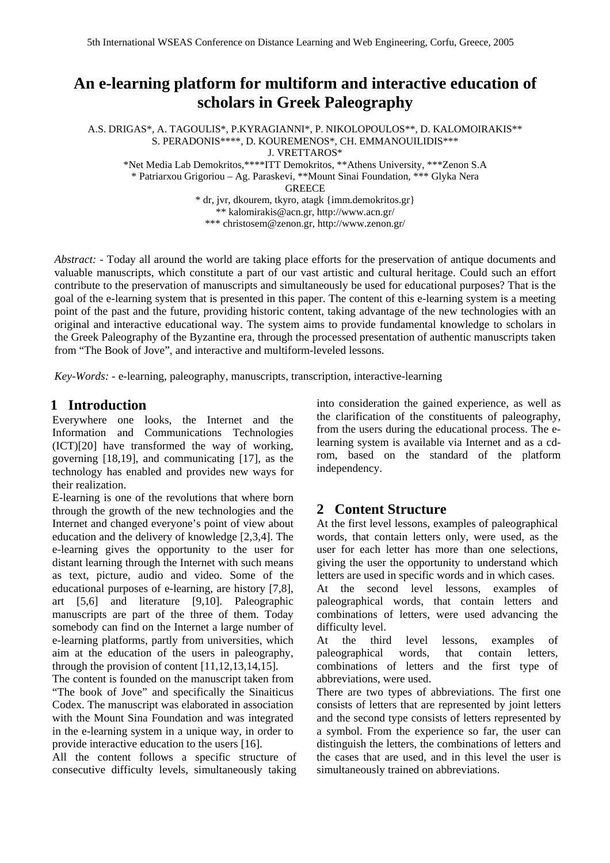# **An e-learning platform for multiform and interactive education of scholars in Greek Paleography**

A.S. DRIGAS\*, A. TAGOULIS\*, P.KYRAGIANNI\*, P. NIKOLOPOULOS\*\*, D. KALOMOIRAKIS\*\* S. PERADONIS\*\*\*\*, D. KOUREMENOS\*, CH. EMMANOUILIDIS\*\*\* J. VRETTAROS\*

\*Net Media Lab Demokritos,\*\*\*\*ITT Demokritos, \*\*Athens University, \*\*\*Zenon S.A

\* Patriarxou Grigoriou – Ag. Paraskevi, \*\*Mount Sinai Foundation, \*\*\* Glyka Nera

**GREECE** 

\* dr, jvr, dkourem, tkyro, atagk {imm.demokritos.gr} \*\* kalomirakis@acn.gr, http://www.acn.gr/

\*\*\* christosem@zenon.gr, http://www.zenon.gr/

*Abstract: -* Today all around the world are taking place efforts for the preservation of antique documents and valuable manuscripts, which constitute a part of our vast artistic and cultural heritage. Could such an effort contribute to the preservation of manuscripts and simultaneously be used for educational purposes? That is the goal of the e-learning system that is presented in this paper. The content of this e-learning system is a meeting point of the past and the future, providing historic content, taking advantage of the new technologies with an original and interactive educational way. The system aims to provide fundamental knowledge to scholars in the Greek Paleography of the Byzantine era, through the processed presentation of authentic manuscripts taken from "The Book of Jove", and interactive and multiform-leveled lessons.

*Key-Words: -* e-learning, paleography, manuscripts, transcription, interactive-learning

### **1 Introduction**

Everywhere one looks, the Internet and the Information and Communications Technologies (ICT)[20] have transformed the way of working, governing [18,19], and communicating [17], as the technology has enabled and provides new ways for their realization.

E-learning is one of the revolutions that where born through the growth of the new technologies and the Internet and changed everyone's point of view about education and the delivery of knowledge [2,3,4]. The e-learning gives the opportunity to the user for distant learning through the Internet with such means as text, picture, audio and video. Some of the educational purposes of e-learning, are history [7,8], art [5,6] and literature [9,10]. Paleographic manuscripts are part of the three of them. Today somebody can find on the Internet a large number of e-learning platforms, partly from universities, which aim at the education of the users in paleography, through the provision of content [11,12,13,14,15].

The content is founded on the manuscript taken from "The book of Jove" and specifically the Sinaiticus Codex. The manuscript was elaborated in association with the Mount Sina Foundation and was integrated in the e-learning system in a unique way, in order to provide interactive education to the users [16].

All the content follows a specific structure of consecutive difficulty levels, simultaneously taking into consideration the gained experience, as well as the clarification of the constituents of paleography, from the users during the educational process. The elearning system is available via Internet and as a cdrom, based on the standard of the platform independency.

### **2 Content Structure**

At the first level lessons, examples of paleographical words, that contain letters only, were used, as the user for each letter has more than one selections, giving the user the opportunity to understand which letters are used in specific words and in which cases. At the second level lessons, examples of paleographical words, that contain letters and combinations of letters, were used advancing the difficulty level.

At the third level lessons, examples of paleographical words, that contain letters, combinations of letters and the first type of abbreviations, were used.

There are two types of abbreviations. The first one consists of letters that are represented by joint letters and the second type consists of letters represented by a symbol. From the experience so far, the user can distinguish the letters, the combinations of letters and the cases that are used, and in this level the user is simultaneously trained on abbreviations.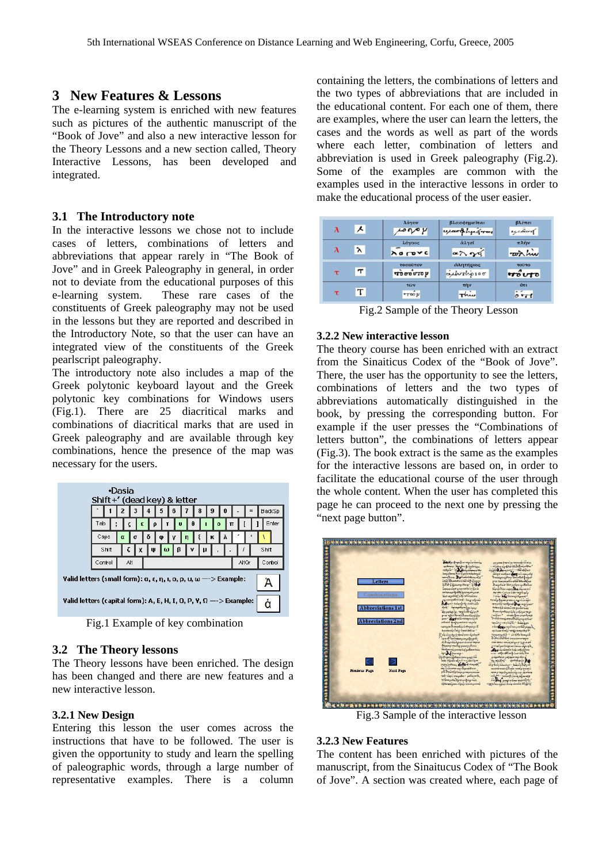### **3 New Features & Lessons**

The e-learning system is enriched with new features such as pictures of the authentic manuscript of the "Book of Jove" and also a new interactive lesson for the Theory Lessons and a new section called, Theory Interactive Lessons, has been developed and integrated.

#### **3.1 The Introductory note**

In the interactive lessons we chose not to include cases of letters, combinations of letters and abbreviations that appear rarely in "The Book of Jove" and in Greek Paleography in general, in order not to deviate from the educational purposes of this e-learning system. These rare cases of the constituents of Greek paleography may not be used in the lessons but they are reported and described in the Introductory Note, so that the user can have an integrated view of the constituents of the Greek pearlscript paleography.

The introductory note also includes a map of the Greek polytonic keyboard layout and the Greek polytonic key combinations for Windows users (Fig.1). There are 25 diacritical marks and combinations of diacritical marks that are used in Greek paleography and are available through key combinations, hence the presence of the map was necessary for the users.



Fig.1 Example of key combination

#### **3.2 The Theory lessons**

The Theory lessons have been enriched. The design has been changed and there are new features and a new interactive lesson.

#### **3.2.1 New Design**

Entering this lesson the user comes across the instructions that have to be followed. The user is given the opportunity to study and learn the spelling of paleographic words, through a large number of representative examples. There is a column

containing the letters, the combinations of letters and the two types of abbreviations that are included in the educational content. For each one of them, there are examples, where the user can learn the letters, the cases and the words as well as part of the words where each letter, combination of letters and abbreviation is used in Greek paleography (Fig.2). Some of the examples are common with the examples used in the interactive lessons in order to make the educational process of the user easier.

|               | $\lambda$ | λόγον<br>$\sim \sim \nu$             | βλασφημεϊται<br><i>upart hyperror</i> | βλέπει<br>uitwood         |
|---------------|-----------|--------------------------------------|---------------------------------------|---------------------------|
|               | $\lambda$ | λόγους<br><b>A</b> <i>a</i> rove     | άλγεϊ<br>$\alpha \lambda \gamma q$    | πλήν<br>with his          |
| $\tau$ $\tau$ |           | τοσούτον<br>$\overrightarrow{10000}$ | άλητήριος<br>achorhoroo               | τούτο<br>riouto           |
| τ             |           | TWV<br>$\frac{1}{2}$                 | τήν<br>Three                          | öτι<br>$\delta \tilde{r}$ |

Fig.2 Sample of the Theory Lesson

#### **3.2.2 New interactive lesson**

The theory course has been enriched with an extract from the Sinaiticus Codex of the "Book of Jove". There, the user has the opportunity to see the letters, combinations of letters and the two types of abbreviations automatically distinguished in the book, by pressing the corresponding button. For example if the user presses the "Combinations of letters button", the combinations of letters appear (Fig.3). The book extract is the same as the examples for the interactive lessons are based on, in order to facilitate the educational course of the user through the whole content. When the user has completed this page he can proceed to the next one by pressing the "next page button".



Fig.3 Sample of the interactive lesson

#### **3.2.3 New Features**

The content has been enriched with pictures of the manuscript, from the Sinaitucus Codex of "The Book of Jove". A section was created where, each page of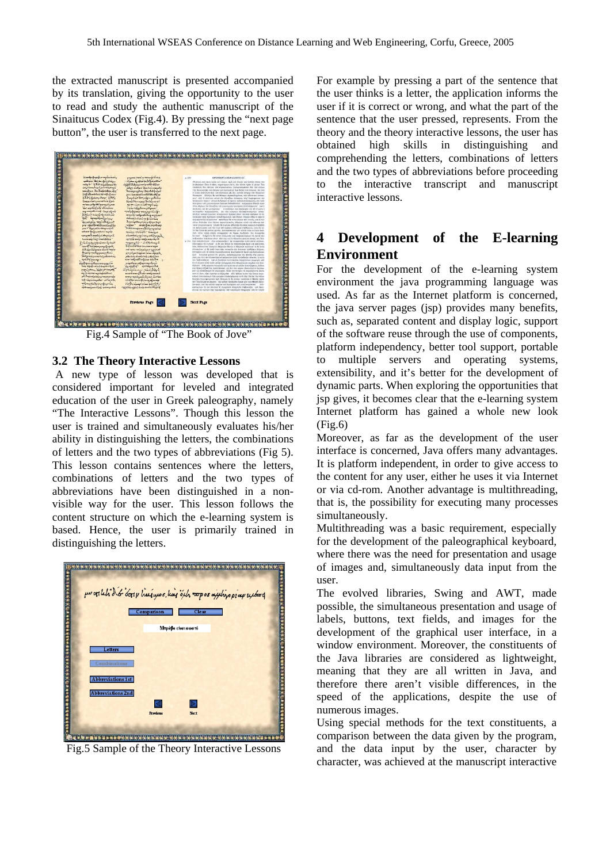the extracted manuscript is presented accompanied by its translation, giving the opportunity to the user to read and study the authentic manuscript of the Sinaitucus Codex (Fig.4). By pressing the "next page button", the user is transferred to the next page.



Fig.4 Sample of "The Book of Jove"

#### **3.2 The Theory Interactive Lessons**

A new type of lesson was developed that is considered important for leveled and integrated education of the user in Greek paleography, namely "The Interactive Lessons". Though this lesson the user is trained and simultaneously evaluates his/her ability in distinguishing the letters, the combinations of letters and the two types of abbreviations (Fig 5). This lesson contains sentences where the letters, combinations of letters and the two types of abbreviations have been distinguished in a nonvisible way for the user. This lesson follows the content structure on which the e-learning system is based. Hence, the user is primarily trained in distinguishing the letters.



Fig.5 Sample of the Theory Interactive Lessons

For example by pressing a part of the sentence that the user thinks is a letter, the application informs the user if it is correct or wrong, and what the part of the sentence that the user pressed, represents. From the theory and the theory interactive lessons, the user has obtained high skills in distinguishing and comprehending the letters, combinations of letters and the two types of abbreviations before proceeding to the interactive transcript and manuscript interactive lessons.

### **4 Development of the E-learning Environment**

For the development of the e-learning system environment the java programming language was used. As far as the Internet platform is concerned, the java server pages (jsp) provides many benefits, such as, separated content and display logic, support of the software reuse through the use of components, platform independency, better tool support, portable to multiple servers and operating systems, extensibility, and it's better for the development of dynamic parts. When exploring the opportunities that jsp gives, it becomes clear that the e-learning system Internet platform has gained a whole new look  $(Fi\varrho.6)$ 

Moreover, as far as the development of the user interface is concerned, Java offers many advantages. It is platform independent, in order to give access to the content for any user, either he uses it via Internet or via cd-rom. Another advantage is multithreading, that is, the possibility for executing many processes simultaneously.

Multithreading was a basic requirement, especially for the development of the paleographical keyboard, where there was the need for presentation and usage of images and, simultaneously data input from the user.

The evolved libraries, Swing and AWT, made possible, the simultaneous presentation and usage of labels, buttons, text fields, and images for the development of the graphical user interface, in a window environment. Moreover, the constituents of the Java libraries are considered as lightweight, meaning that they are all written in Java, and therefore there aren't visible differences, in the speed of the applications, despite the use of numerous images.

Using special methods for the text constituents, a comparison between the data given by the program, and the data input by the user, character by character, was achieved at the manuscript interactive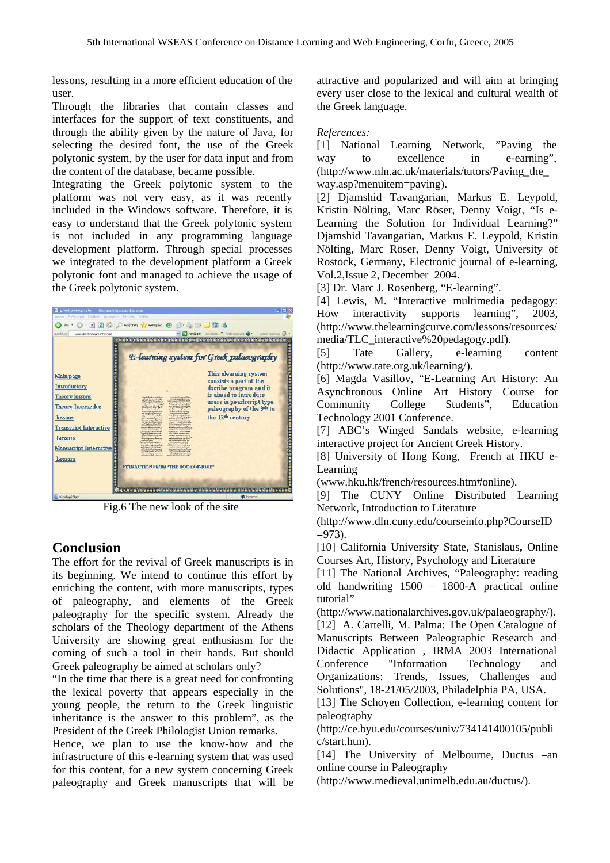lessons, resulting in a more efficient education of the user.

Through the libraries that contain classes and interfaces for the support of text constituents, and through the ability given by the nature of Java, for selecting the desired font, the use of the Greek polytonic system, by the user for data input and from the content of the database, became possible.

Integrating the Greek polytonic system to the platform was not very easy, as it was recently included in the Windows software. Therefore, it is easy to understand that the Greek polytonic system is not included in any programming language development platform. Through special processes we integrated to the development platform a Greek polytonic font and managed to achieve the usage of the Greek polytonic system.

| <b>B</b> greekpaleography<br>- Microsoft Internet Explorer<br>Apple Endanyoda Rodol-Avarrupy Envalve Borbog<br>Tiou +                                                                                                         | DAvoltimon of Avorrativo @ 8 - 5 - 10 %                                                                                                                                                                                                                                                                                                                                                                                                                                                                                                                                                                                                                                                                                                                                                                                                                                                                                                                                                                                                                                                                                                                                                                                                                                                                                                                                                                                                                                                                                                                                                                                                                                                                                                                                                                                                                                                                                                                                                                                             | <b>DIX</b>                                                                                                                                                                                                                                                                                                                            |
|-------------------------------------------------------------------------------------------------------------------------------------------------------------------------------------------------------------------------------|-------------------------------------------------------------------------------------------------------------------------------------------------------------------------------------------------------------------------------------------------------------------------------------------------------------------------------------------------------------------------------------------------------------------------------------------------------------------------------------------------------------------------------------------------------------------------------------------------------------------------------------------------------------------------------------------------------------------------------------------------------------------------------------------------------------------------------------------------------------------------------------------------------------------------------------------------------------------------------------------------------------------------------------------------------------------------------------------------------------------------------------------------------------------------------------------------------------------------------------------------------------------------------------------------------------------------------------------------------------------------------------------------------------------------------------------------------------------------------------------------------------------------------------------------------------------------------------------------------------------------------------------------------------------------------------------------------------------------------------------------------------------------------------------------------------------------------------------------------------------------------------------------------------------------------------------------------------------------------------------------------------------------------------|---------------------------------------------------------------------------------------------------------------------------------------------------------------------------------------------------------------------------------------------------------------------------------------------------------------------------------------|
| Aucúfikovan<br>www.greekpaleography.com<br>Main page<br>Introductory<br><b>Theory lessons</b><br><b>Theory Interactive</b><br>lessons<br><b>Transcript Interactive</b><br>Lessons<br><b>Manuscript Interactive</b><br>Lessons | **********<br>V.H<br>months through a require down,<br>arrangement of the New York of the<br>an the hostenbooks<br><b>Beauty exploy Dearborn</b><br><b>Difference Committee Committee</b><br>ry tanàn'i vitritan'i<br>Salamoutus (NK)<br>hapfair integrigation<br>na con yours for your<br>twel-human the biogram<br>te in dans Lift was as<br>in this brought<br><b>Marketpapelin</b><br>denised - hay etc.<br>o name of the main and<br>would network?<br><b>General</b><br>weekly shown I are the lot been<br><b>Contractor</b><br>irialization physical<br>The companies<br><b>Representative Association</b><br>winesto and internal<br>mpaadan wara<br><b><i>CONTRACTOR</i></b><br>weekening med her predictions<br>with the conditional contract does<br>an advertising the complete<br>leg Russia de la contentación<br>All 1 vs Killy Kasard<br>Son Literature and contemporary<br><b>CONTACTOR</b><br><b>CONTACTOR</b> CONTACTOR<br><b>Bagridager for the T</b><br>a my kyantogo at como objectivo<br>ada kay singay kay sababian<br>report of posteroid.<br>www.pagemental.com<br>mar.<br><b>Continental Continental</b><br>prince, didn't it have?<br>فرفان بسنة توجدها و<br><b>Service Light Convert</b><br>www.washipode.org.com<br><b>Board may commented</b><br>middentifeholanderne<br>of cast imaging a stressed<br>$\frac{\partial}{\partial x^2}=\frac{\partial}{\partial x^2}+\frac{\partial}{\partial x^2}+\frac{\partial}{\partial x^2}+\frac{\partial}{\partial x^2}+\frac{\partial}{\partial x^2}+\frac{\partial}{\partial x^2}+\frac{\partial}{\partial x^2}+\frac{\partial}{\partial x^2}+\frac{\partial}{\partial x^2}+\frac{\partial}{\partial x^2}+\frac{\partial}{\partial x^2}+\frac{\partial}{\partial x^2}+\frac{\partial}{\partial x^2}+\frac{\partial}{\partial x^2}+\frac{\partial}{\partial x^2}+\frac{\partial}{\partial x^2}+\frac{\partial}{\partial x^2}+\frac{\partial}{\partial x^2}+\frac{\partial}{\partial x^2}$<br>andaly worth space.<br><b>EXTRACTION FROM "THE BOOK OF JOVE"</b> | MendBacq Invoicenc <sup>29</sup> Web assistant C - Norton Antiques C -<br><b>E-learning system for Greek palaeography</b><br>This elearning system<br>consists a part of the<br>dscribe program and it<br>is aimed to introduce<br>users in pearlscript type<br>paleography of the 9 <sup>th</sup> to<br>the 12 <sup>th</sup> century |
| <b>Oharchrysidings</b>                                                                                                                                                                                                        |                                                                                                                                                                                                                                                                                                                                                                                                                                                                                                                                                                                                                                                                                                                                                                                                                                                                                                                                                                                                                                                                                                                                                                                                                                                                                                                                                                                                                                                                                                                                                                                                                                                                                                                                                                                                                                                                                                                                                                                                                                     | <b>D</b> Internet                                                                                                                                                                                                                                                                                                                     |

Fig.6 The new look of the site

## **Conclusion**

The effort for the revival of Greek manuscripts is in its beginning. We intend to continue this effort by enriching the content, with more manuscripts, types of paleography, and elements of the Greek paleography for the specific system. Already the scholars of the Theology department of the Athens University are showing great enthusiasm for the coming of such a tool in their hands. But should Greek paleography be aimed at scholars only?

"In the time that there is a great need for confronting the lexical poverty that appears especially in the young people, the return to the Greek linguistic inheritance is the answer to this problem", as the President of the Greek Philologist Union remarks.

Hence, we plan to use the know-how and the infrastructure of this e-learning system that was used for this content, for a new system concerning Greek paleography and Greek manuscripts that will be

attractive and popularized and will aim at bringing every user close to the lexical and cultural wealth of the Greek language.

*References:* 

[1] National Learning Network, "Paving the way to excellence in e-earning", (http://www.nln.ac.uk/materials/tutors/Paving\_the\_ way.asp?menuitem=paving).

[2] Djamshid Tavangarian, Markus E. Leypold, Kristin Nölting, Marc Röser, Denny Voigt, **"**Is e-Learning the Solution for Individual Learning?" Djamshid Tavangarian, Markus E. Leypold, Kristin Nölting, Marc Röser, Denny Voigt, University of Rostock, Germany, Electronic journal of e-learning, Vol.2, Issue 2, December 2004.

[3] Dr. Marc J. Rosenberg, "E-learning".

[4] Lewis, M. "Interactive multimedia pedagogy: How interactivity supports learning", 2003, (http://www.thelearningcurve.com/lessons/resources/ media/TLC\_interactive%20pedagogy.pdf).

[5] Tate Gallery, e-learning content (http://www.tate.org.uk/learning/).

[6] Magda Vasillov, "E-Learning Art History: An Asynchronous Online Art History Course for Community College Students", Education Technology 2001 Conference.

[7] ABC's Winged Sandals website, e-learning interactive project for Ancient Greek History.

[8] University of Hong Kong, French at HKU e-Learning

(www.hku.hk/french/resources.htm#online).

[9] The CUNY Online Distributed Learning Network, Introduction to Literature

(http://www.dln.cuny.edu/courseinfo.php?CourseID  $=973$ ).

[10] California University State, Stanislaus**,** Online Courses Art, History, Psychology and Literature

[11] The National Archives, "Paleography: reading old handwriting 1500 – 1800-A practical online tutorial"

(http://www.nationalarchives.gov.uk/palaeography/). [12] A. Cartelli, M. Palma: The Open Catalogue of Manuscripts Between Paleographic Research and Didactic Application , IRMA 2003 International Conference "Information Technology and

Organizations: Trends, Issues, Challenges and Solutions", 18-21/05/2003, Philadelphia PA, USA.

[13] The Schoven Collection, e-learning content for paleography

(http://ce.byu.edu/courses/univ/734141400105/publi c/start.htm).

[14] The University of Melbourne, Ductus –an online course in Paleography

(http://www.medieval.unimelb.edu.au/ductus/).